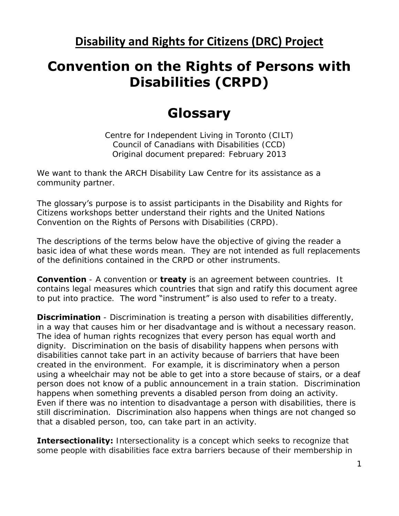**Disability and Rights for Citizens (DRC) Project** 

## **Convention on the Rights of Persons with Disabilities (CRPD)**

## **Glossary**

Centre for Independent Living in Toronto (CILT) Council of Canadians with Disabilities (CCD) Original document prepared: February 2013

We want to thank the ARCH Disability Law Centre for its assistance as a community partner.

The glossary's purpose is to assist participants in the Disability and Rights for Citizens workshops better understand their rights and the United Nations Convention on the Rights of Persons with Disabilities (CRPD).

The descriptions of the terms below have the objective of giving the reader a basic idea of what these words mean. They are not intended as full replacements of the definitions contained in the CRPD or other instruments.

**Convention** - A convention or **treaty** is an agreement between countries. It contains legal measures which countries that sign and ratify this document agree to put into practice. The word "instrument" is also used to refer to a treaty.

**Discrimination** - Discrimination is treating a person with disabilities differently, in a way that causes him or her disadvantage and is without a necessary reason. The idea of human rights recognizes that every person has equal worth and dignity. Discrimination on the basis of disability happens when persons with disabilities cannot take part in an activity because of barriers that have been created in the environment. For example, it is discriminatory when a person using a wheelchair may not be able to get into a store because of stairs, or a deaf person does not know of a public announcement in a train station. Discrimination happens when something prevents a disabled person from doing an activity. Even if there was no intention to disadvantage a person with disabilities, there is still discrimination. Discrimination also happens when things are not changed so that a disabled person, too, can take part in an activity.

**Intersectionality:** Intersectionality is a concept which seeks to recognize that some people with disabilities face extra barriers because of their membership in